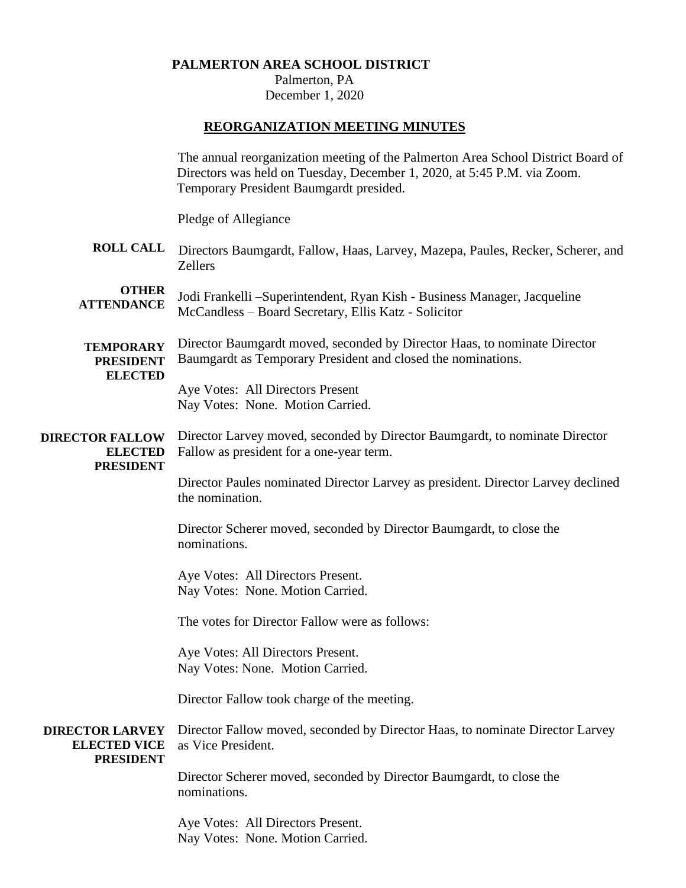## **PALMERTON AREA SCHOOL DISTRICT**

Palmerton, PA December 1, 2020

# **REORGANIZATION MEETING MINUTES**

|                                                                   | The annual reorganization meeting of the Palmerton Area School District Board of<br>Directors was held on Tuesday, December 1, 2020, at 5:45 P.M. via Zoom.<br>Temporary President Baumgardt presided. |
|-------------------------------------------------------------------|--------------------------------------------------------------------------------------------------------------------------------------------------------------------------------------------------------|
|                                                                   | Pledge of Allegiance                                                                                                                                                                                   |
| <b>ROLL CALL</b>                                                  | Directors Baumgardt, Fallow, Haas, Larvey, Mazepa, Paules, Recker, Scherer, and<br>Zellers                                                                                                             |
| <b>OTHER</b><br><b>ATTENDANCE</b>                                 | Jodi Frankelli – Superintendent, Ryan Kish - Business Manager, Jacqueline<br>McCandless - Board Secretary, Ellis Katz - Solicitor                                                                      |
| <b>TEMPORARY</b><br><b>PRESIDENT</b><br><b>ELECTED</b>            | Director Baumgardt moved, seconded by Director Haas, to nominate Director<br>Baumgardt as Temporary President and closed the nominations.                                                              |
|                                                                   | Aye Votes: All Directors Present<br>Nay Votes: None. Motion Carried.                                                                                                                                   |
| <b>DIRECTOR FALLOW</b><br><b>ELECTED</b><br><b>PRESIDENT</b>      | Director Larvey moved, seconded by Director Baumgardt, to nominate Director<br>Fallow as president for a one-year term.                                                                                |
|                                                                   | Director Paules nominated Director Larvey as president. Director Larvey declined<br>the nomination.                                                                                                    |
|                                                                   | Director Scherer moved, seconded by Director Baumgardt, to close the<br>nominations.                                                                                                                   |
|                                                                   | Aye Votes: All Directors Present.<br>Nay Votes: None. Motion Carried.                                                                                                                                  |
|                                                                   | The votes for Director Fallow were as follows:                                                                                                                                                         |
|                                                                   | Aye Votes: All Directors Present.<br>Nay Votes: None. Motion Carried.                                                                                                                                  |
|                                                                   | Director Fallow took charge of the meeting.                                                                                                                                                            |
| <b>DIRECTOR LARVEY</b><br><b>ELECTED VICE</b><br><b>PRESIDENT</b> | Director Fallow moved, seconded by Director Haas, to nominate Director Larvey<br>as Vice President.                                                                                                    |
|                                                                   | Director Scherer moved, seconded by Director Baumgardt, to close the<br>nominations.                                                                                                                   |
|                                                                   | Aye Votes: All Directors Present.<br>Nay Votes: None. Motion Carried.                                                                                                                                  |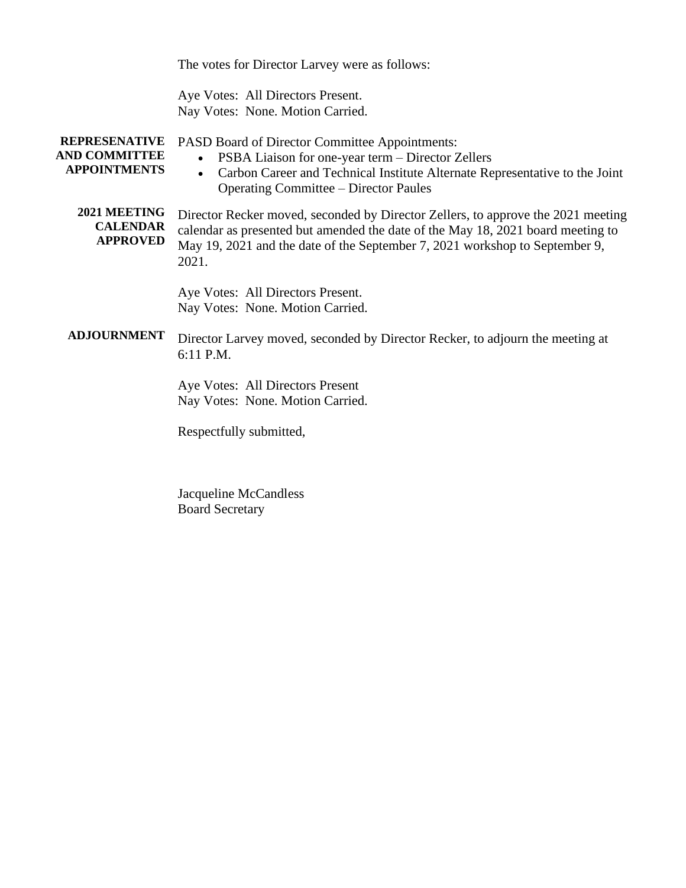The votes for Director Larvey were as follows:

Aye Votes: All Directors Present. Nay Votes: None. Motion Carried.

| <b>REPRESENATIVE</b><br><b>AND COMMITTEE</b><br><b>APPOINTMENTS</b> | PASD Board of Director Committee Appointments:<br>PSBA Liaison for one-year term – Director Zellers<br>Carbon Career and Technical Institute Alternate Representative to the Joint<br><b>Operating Committee – Director Paules</b>                          |
|---------------------------------------------------------------------|-------------------------------------------------------------------------------------------------------------------------------------------------------------------------------------------------------------------------------------------------------------|
| 2021 MEETING<br><b>CALENDAR</b><br><b>APPROVED</b>                  | Director Recker moved, seconded by Director Zellers, to approve the 2021 meeting<br>calendar as presented but amended the date of the May 18, 2021 board meeting to<br>May 19, 2021 and the date of the September 7, 2021 workshop to September 9,<br>2021. |
|                                                                     | Aye Votes: All Directors Present.<br>Nay Votes: None. Motion Carried.                                                                                                                                                                                       |
| <b>ADJOURNMENT</b>                                                  | Director Larvey moved, seconded by Director Recker, to adjourn the meeting at<br>6:11 P.M.                                                                                                                                                                  |
|                                                                     | Aye Votes: All Directors Present<br>Nay Votes: None. Motion Carried.                                                                                                                                                                                        |
|                                                                     | Respectfully submitted,                                                                                                                                                                                                                                     |
|                                                                     |                                                                                                                                                                                                                                                             |

Jacqueline McCandless Board Secretary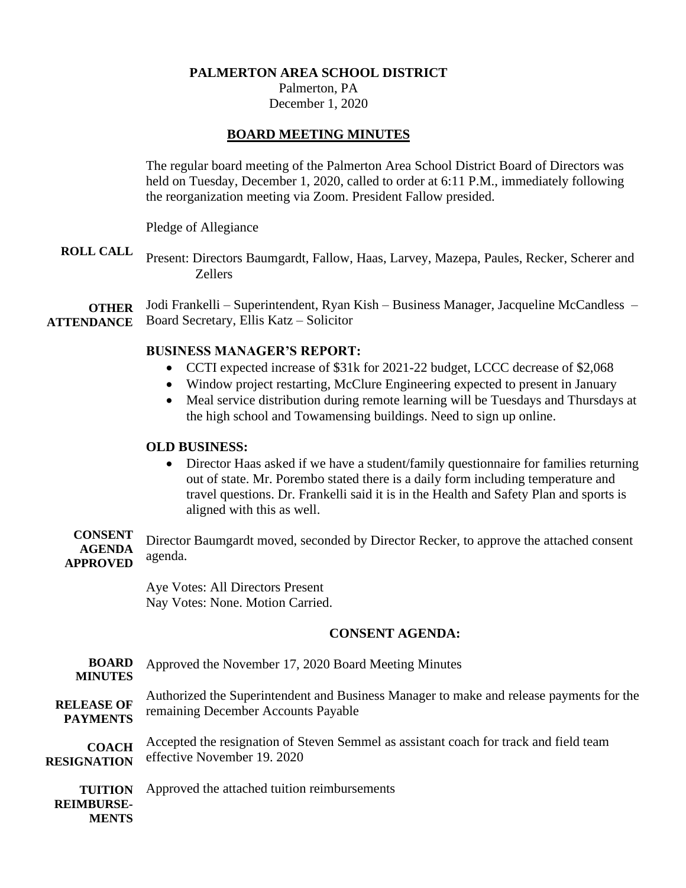### **PALMERTON AREA SCHOOL DISTRICT**

Palmerton, PA December 1, 2020

## **BOARD MEETING MINUTES**

The regular board meeting of the Palmerton Area School District Board of Directors was held on Tuesday, December 1, 2020, called to order at 6:11 P.M., immediately following the reorganization meeting via Zoom. President Fallow presided.

Pledge of Allegiance

**ROLL CALL** Present: Directors Baumgardt, Fallow, Haas, Larvey, Mazepa, Paules, Recker, Scherer and Zellers

**OTHER ATTENDANCE** Jodi Frankelli – Superintendent, Ryan Kish – Business Manager, Jacqueline McCandless – Board Secretary, Ellis Katz – Solicitor

## **BUSINESS MANAGER'S REPORT:**

- CCTI expected increase of \$31k for 2021-22 budget, LCCC decrease of \$2,068
- Window project restarting, McClure Engineering expected to present in January
- Meal service distribution during remote learning will be Tuesdays and Thursdays at the high school and Towamensing buildings. Need to sign up online.

## **OLD BUSINESS:**

• Director Haas asked if we have a student/family questionnaire for families returning out of state. Mr. Porembo stated there is a daily form including temperature and travel questions. Dr. Frankelli said it is in the Health and Safety Plan and sports is aligned with this as well.

**CONSENT AGENDA APPROVED** Director Baumgardt moved, seconded by Director Recker, to approve the attached consent agenda.

> Aye Votes: All Directors Present Nay Votes: None. Motion Carried.

## **CONSENT AGENDA:**

| <b>BOARD</b><br><b>MINUTES</b>               | Approved the November 17, 2020 Board Meeting Minutes                                    |
|----------------------------------------------|-----------------------------------------------------------------------------------------|
| <b>RELEASE OF</b>                            | Authorized the Superintendent and Business Manager to make and release payments for the |
| <b>PAYMENTS</b>                              | remaining December Accounts Payable                                                     |
| <b>COACH</b>                                 | Accepted the resignation of Steven Semmel as assistant coach for track and field team   |
| <b>RESIGNATION</b>                           | effective November 19. 2020                                                             |
| <b>TUITION</b><br><b>REIMBURSE-</b><br>MENTS | Approved the attached tuition reimbursements                                            |